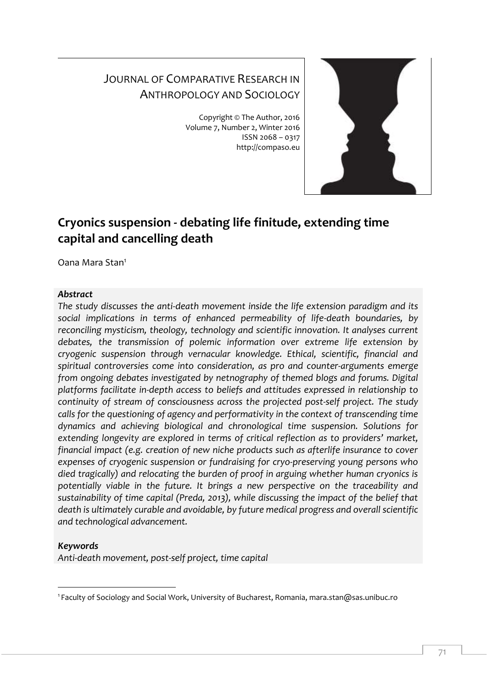# JOURNAL OF COMPARATIVE RESEARCH IN ANTHROPOLOGY AND SOCIOLOGY

Copyright © The Author, 2016 Volume 7, Number 2, Winter 2016 ISSN 2068 – 0317 http://compaso.eu



# **Cryonics suspension - debating life finitude, extending time capital and cancelling death**

Oana Mara Stan<sup>1</sup>

#### *Abstract*

*The study discusses the anti-death movement inside the life extension paradigm and its social implications in terms of enhanced permeability of life-death boundaries, by reconciling mysticism, theology, technology and scientific innovation. It analyses current debates, the transmission of polemic information over extreme life extension by cryogenic suspension through vernacular knowledge. Ethical, scientific, financial and spiritual controversies come into consideration, as pro and counter-arguments emerge from ongoing debates investigated by netnography of themed blogs and forums. Digital platforms facilitate in-depth access to beliefs and attitudes expressed in relationship to continuity of stream of consciousness across the projected post-self project. The study calls for the questioning of agency and performativity in the context of transcending time dynamics and achieving biological and chronological time suspension. Solutions for extending longevity are explored in terms of critical reflection as to providers' market, financial impact (e.g. creation of new niche products such as afterlife insurance to cover expenses of cryogenic suspension or fundraising for cryo-preserving young persons who died tragically) and relocating the burden of proof in arguing whether human cryonics is potentially viable in the future. It brings a new perspective on the traceability and sustainability of time capital (Preda, 2013), while discussing the impact of the belief that death is ultimately curable and avoidable, by future medical progress and overall scientific and technological advancement.* 

# *Keywords*

*Anti-death movement, post-self project, time capital*

<sup>-</sup><sup>1</sup> Faculty of Sociology and Social Work, University of Bucharest, Romania, mara.stan@sas.unibuc.ro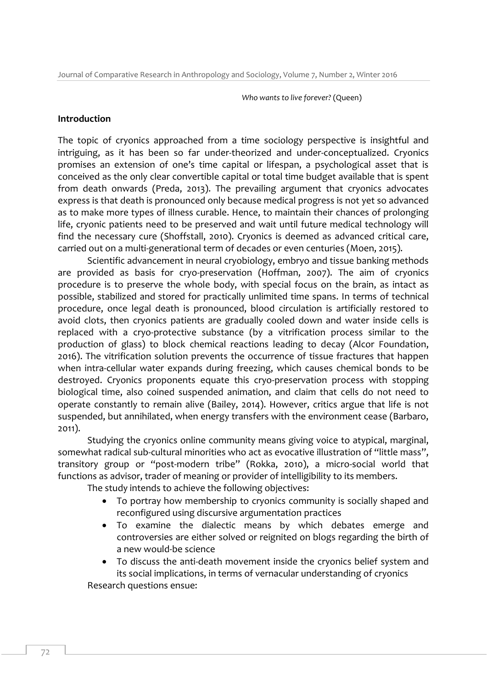*Who wants to live forever?* (Queen)

#### **Introduction**

The topic of cryonics approached from a time sociology perspective is insightful and intriguing, as it has been so far under-theorized and under-conceptualized. Cryonics promises an extension of one's time capital or lifespan, a psychological asset that is conceived as the only clear convertible capital or total time budget available that is spent from death onwards (Preda, 2013). The prevailing argument that cryonics advocates express is that death is pronounced only because medical progress is not yet so advanced as to make more types of illness curable. Hence, to maintain their chances of prolonging life, cryonic patients need to be preserved and wait until future medical technology will find the necessary cure (Shoffstall, 2010). Cryonics is deemed as advanced critical care, carried out on a multi-generational term of decades or even centuries (Moen, 2015).

Scientific advancement in neural cryobiology, embryo and tissue banking methods are provided as basis for cryo-preservation (Hoffman, 2007). The aim of cryonics procedure is to preserve the whole body, with special focus on the brain, as intact as possible, stabilized and stored for practically unlimited time spans. In terms of technical procedure, once legal death is pronounced, blood circulation is artificially restored to avoid clots, then cryonics patients are gradually cooled down and water inside cells is replaced with a cryo-protective substance (by a vitrification process similar to the production of glass) to block chemical reactions leading to decay (Alcor Foundation, 2016). The vitrification solution prevents the occurrence of tissue fractures that happen when intra-cellular water expands during freezing, which causes chemical bonds to be destroyed. Cryonics proponents equate this cryo-preservation process with stopping biological time, also coined suspended animation, and claim that cells do not need to operate constantly to remain alive (Bailey, 2014). However, critics argue that life is not suspended, but annihilated, when energy transfers with the environment cease (Barbaro, 2011).

Studying the cryonics online community means giving voice to atypical, marginal, somewhat radical sub-cultural minorities who act as evocative illustration of "little mass", transitory group or "post-modern tribe" (Rokka, 2010), a micro-social world that functions as advisor, trader of meaning or provider of intelligibility to its members.

The study intends to achieve the following objectives:

- To portray how membership to cryonics community is socially shaped and reconfigured using discursive argumentation practices
- To examine the dialectic means by which debates emerge and controversies are either solved or reignited on blogs regarding the birth of a new would-be science
- To discuss the anti-death movement inside the cryonics belief system and its social implications, in terms of vernacular understanding of cryonics

Research questions ensue: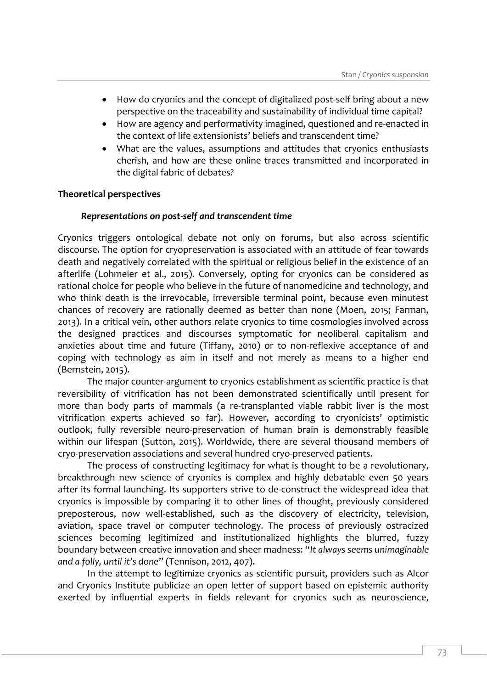- How do cryonics and the concept of digitalized post-self bring about a new perspective on the traceability and sustainability of individual time capital?
- How are agency and performativity imagined, questioned and re-enacted in the context of life extensionists' beliefs and transcendent time?
- What are the values, assumptions and attitudes that cryonics enthusiasts cherish, and how are these online traces transmitted and incorporated in the digital fabric of debates*?*

# **Theoretical perspectives**

## *Representations on post-self and transcendent time*

Cryonics triggers ontological debate not only on forums, but also across scientific discourse. The option for cryopreservation is associated with an attitude of fear towards death and negatively correlated with the spiritual or religious belief in the existence of an afterlife (Lohmeier et al., 2015). Conversely, opting for cryonics can be considered as rational choice for people who believe in the future of nanomedicine and technology, and who think death is the irrevocable, irreversible terminal point, because even minutest chances of recovery are rationally deemed as better than none (Moen, 2015; Farman, 2013). In a critical vein, other authors relate cryonics to time cosmologies involved across the designed practices and discourses symptomatic for neoliberal capitalism and anxieties about time and future (Tiffany, 2010) or to non-reflexive acceptance of and coping with technology as aim in itself and not merely as means to a higher end (Bernstein, 2015).

The major counter-argument to cryonics establishment as scientific practice is that reversibility of vitrification has not been demonstrated scientifically until present for more than body parts of mammals (a re-transplanted viable rabbit liver is the most vitrification experts achieved so far). However, according to cryonicists' optimistic outlook, fully reversible neuro-preservation of human brain is demonstrably feasible within our lifespan (Sutton, 2015). Worldwide, there are several thousand members of cryo-preservation associations and several hundred cryo-preserved patients.

The process of constructing legitimacy for what is thought to be a revolutionary, breakthrough new science of cryonics is complex and highly debatable even 50 years after its formal launching. Its supporters strive to de-construct the widespread idea that cryonics is impossible by comparing it to other lines of thought, previously considered preposterous, now well-established, such as the discovery of electricity, television, aviation, space travel or computer technology. The process of previously ostracized sciences becoming legitimized and institutionalized highlights the blurred, fuzzy boundary between creative innovation and sheer madness: "*It always seems unimaginable and a folly, until it's done*" (Tennison, 2012, 407).

In the attempt to legitimize cryonics as scientific pursuit, providers such as Alcor and Cryonics Institute publicize an open letter of support based on epistemic authority exerted by influential experts in fields relevant for cryonics such as neuroscience,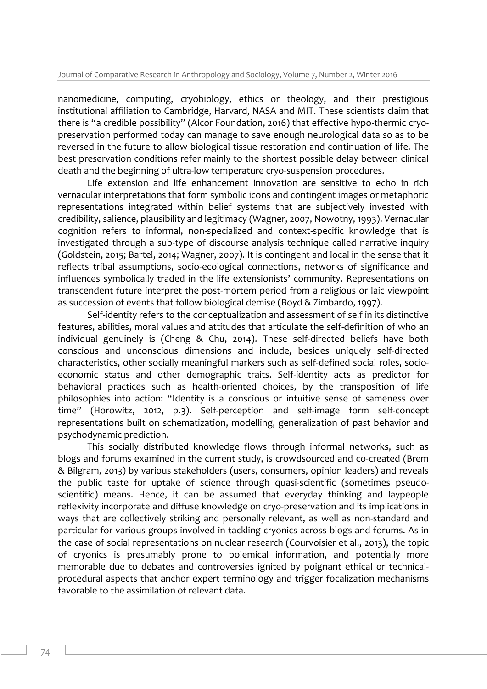nanomedicine, computing, cryobiology, ethics or theology, and their prestigious institutional affiliation to Cambridge, Harvard, NASA and MIT. These scientists claim that there is "a credible possibility" (Alcor Foundation, 2016) that effective hypo-thermic cryopreservation performed today can manage to save enough neurological data so as to be reversed in the future to allow biological tissue restoration and continuation of life. The best preservation conditions refer mainly to the shortest possible delay between clinical death and the beginning of ultra-low temperature cryo-suspension procedures.

Life extension and life enhancement innovation are sensitive to echo in rich vernacular interpretations that form symbolic icons and contingent images or metaphoric representations integrated within belief systems that are subjectively invested with credibility, salience, plausibility and legitimacy (Wagner, 2007, Nowotny, 1993). Vernacular cognition refers to informal, non-specialized and context-specific knowledge that is investigated through a sub-type of discourse analysis technique called narrative inquiry (Goldstein, 2015; Bartel, 2014; Wagner, 2007). It is contingent and local in the sense that it reflects tribal assumptions, socio-ecological connections, networks of significance and influences symbolically traded in the life extensionists' community. Representations on transcendent future interpret the post-mortem period from a religious or laic viewpoint as succession of events that follow biological demise (Boyd & Zimbardo, 1997).

Self-identity refers to the conceptualization and assessment of self in its distinctive features, abilities, moral values and attitudes that articulate the self-definition of who an individual genuinely is (Cheng & Chu, 2014). These self-directed beliefs have both conscious and unconscious dimensions and include, besides uniquely self-directed characteristics, other socially meaningful markers such as self-defined social roles, socioeconomic status and other demographic traits. Self-identity acts as predictor for behavioral practices such as health-oriented choices, by the transposition of life philosophies into action: "Identity is a conscious or intuitive sense of sameness over time" (Horowitz, 2012, p.3). Self-perception and self-image form self-concept representations built on schematization, modelling, generalization of past behavior and psychodynamic prediction.

This socially distributed knowledge flows through informal networks, such as blogs and forums examined in the current study, is crowdsourced and co-created (Brem & Bilgram, 2013) by various stakeholders (users, consumers, opinion leaders) and reveals the public taste for uptake of science through quasi-scientific (sometimes pseudoscientific) means. Hence, it can be assumed that everyday thinking and laypeople reflexivity incorporate and diffuse knowledge on cryo-preservation and its implications in ways that are collectively striking and personally relevant, as well as non-standard and particular for various groups involved in tackling cryonics across blogs and forums. As in the case of social representations on nuclear research (Courvoisier et al., 2013), the topic of cryonics is presumably prone to polemical information, and potentially more memorable due to debates and controversies ignited by poignant ethical or technicalprocedural aspects that anchor expert terminology and trigger focalization mechanisms favorable to the assimilation of relevant data.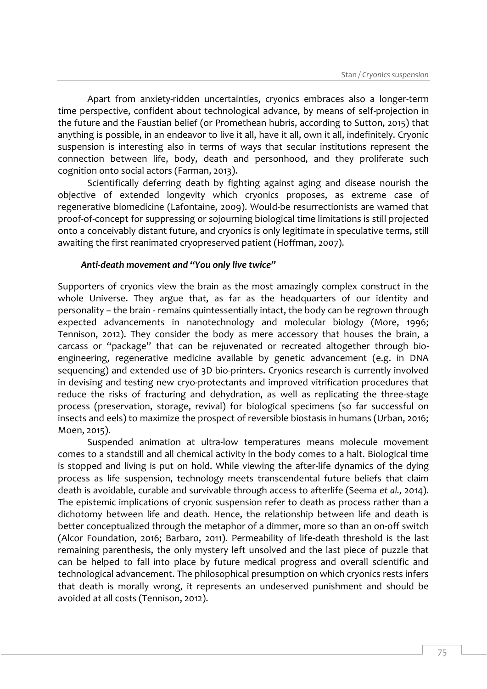Apart from anxiety-ridden uncertainties, cryonics embraces also a longer-term time perspective, confident about technological advance, by means of self-projection in the future and the Faustian belief (or Promethean hubris, according to Sutton, 2015) that anything is possible, in an endeavor to live it all, have it all, own it all, indefinitely. Cryonic suspension is interesting also in terms of ways that secular institutions represent the connection between life, body, death and personhood, and they proliferate such cognition onto social actors (Farman, 2013).

Scientifically deferring death by fighting against aging and disease nourish the objective of extended longevity which cryonics proposes, as extreme case of regenerative biomedicine (Lafontaine, 2009). Would-be resurrectionists are warned that proof-of-concept for suppressing or sojourning biological time limitations is still projected onto a conceivably distant future, and cryonics is only legitimate in speculative terms, still awaiting the first reanimated cryopreserved patient (Hoffman, 2007).

#### *Anti-death movement and "You only live twice"*

Supporters of cryonics view the brain as the most amazingly complex construct in the whole Universe. They argue that, as far as the headquarters of our identity and personality – the brain - remains quintessentially intact, the body can be regrown through expected advancements in nanotechnology and molecular biology (More, 1996; Tennison, 2012). They consider the body as mere accessory that houses the brain, a carcass or "package" that can be rejuvenated or recreated altogether through bioengineering, regenerative medicine available by genetic advancement (e.g. in DNA sequencing) and extended use of 3D bio-printers. Cryonics research is currently involved in devising and testing new cryo-protectants and improved vitrification procedures that reduce the risks of fracturing and dehydration, as well as replicating the three-stage process (preservation, storage, revival) for biological specimens (so far successful on insects and eels) to maximize the prospect of reversible biostasis in humans (Urban, 2016; Moen, 2015).

Suspended animation at ultra-low temperatures means molecule movement comes to a standstill and all chemical activity in the body comes to a halt. Biological time is stopped and living is put on hold. While viewing the after-life dynamics of the dying process as life suspension, technology meets transcendental future beliefs that claim death is avoidable, curable and survivable through access to afterlife (Seema *et al.,* 2014). The epistemic implications of cryonic suspension refer to death as process rather than a dichotomy between life and death. Hence, the relationship between life and death is better conceptualized through the metaphor of a dimmer, more so than an on-off switch (Alcor Foundation, 2016; Barbaro, 2011). Permeability of life-death threshold is the last remaining parenthesis, the only mystery left unsolved and the last piece of puzzle that can be helped to fall into place by future medical progress and overall scientific and technological advancement. The philosophical presumption on which cryonics rests infers that death is morally wrong, it represents an undeserved punishment and should be avoided at all costs (Tennison, 2012).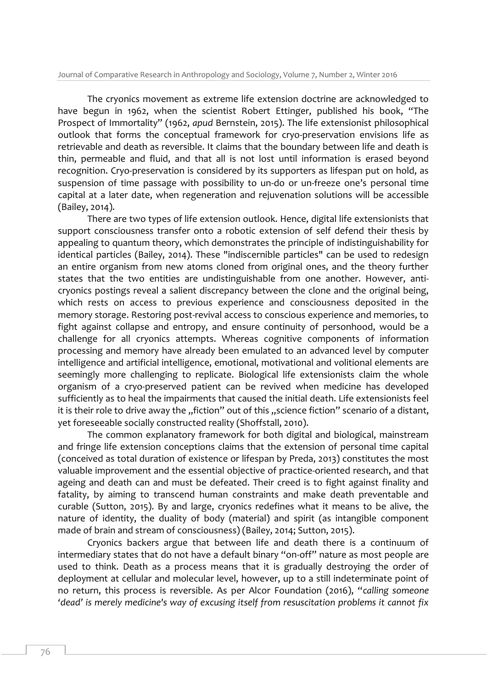The cryonics movement as extreme life extension doctrine are acknowledged to have begun in 1962, when the scientist Robert Ettinger, published his book, "The Prospect of Immortality" (1962, *apud* Bernstein, 2015). The life extensionist philosophical outlook that forms the conceptual framework for cryo-preservation envisions life as retrievable and death as reversible. It claims that the boundary between life and death is thin, permeable and fluid, and that all is not lost until information is erased beyond recognition. Cryo-preservation is considered by its supporters as lifespan put on hold, as suspension of time passage with possibility to un-do or un-freeze one's personal time capital at a later date, when regeneration and rejuvenation solutions will be accessible (Bailey, 2014).

There are two types of life extension outlook. Hence, digital life extensionists that support consciousness transfer onto a robotic extension of self defend their thesis by appealing to quantum theory, which demonstrates the principle of indistinguishability for identical particles (Bailey, 2014). These "indiscernible particles" can be used to redesign an entire organism from new atoms cloned from original ones, and the theory further states that the two entities are undistinguishable from one another. However, anticryonics postings reveal a salient discrepancy between the clone and the original being, which rests on access to previous experience and consciousness deposited in the memory storage. Restoring post-revival access to conscious experience and memories, to fight against collapse and entropy, and ensure continuity of personhood, would be a challenge for all cryonics attempts. Whereas cognitive components of information processing and memory have already been emulated to an advanced level by computer intelligence and artificial intelligence, emotional, motivational and volitional elements are seemingly more challenging to replicate. Biological life extensionists claim the whole organism of a cryo-preserved patient can be revived when medicine has developed sufficiently as to heal the impairments that caused the initial death. Life extensionists feel it is their role to drive away the "fiction" out of this "science fiction" scenario of a distant, yet foreseeable socially constructed reality (Shoffstall, 2010).

The common explanatory framework for both digital and biological, mainstream and fringe life extension conceptions claims that the extension of personal time capital (conceived as total duration of existence or lifespan by Preda, 2013) constitutes the most valuable improvement and the essential objective of practice-oriented research, and that ageing and death can and must be defeated. Their creed is to fight against finality and fatality, by aiming to transcend human constraints and make death preventable and curable (Sutton, 2015). By and large, cryonics redefines what it means to be alive, the nature of identity, the duality of body (material) and spirit (as intangible component made of brain and stream of consciousness) (Bailey, 2014; Sutton, 2015).

Cryonics backers argue that between life and death there is a continuum of intermediary states that do not have a default binary "on-off" nature as most people are used to think. Death as a process means that it is gradually destroying the order of deployment at cellular and molecular level, however, up to a still indeterminate point of no return, this process is reversible. As per Alcor Foundation (2016), "*calling someone 'dead' is merely medicine's way of excusing itself from resuscitation problems it cannot fix*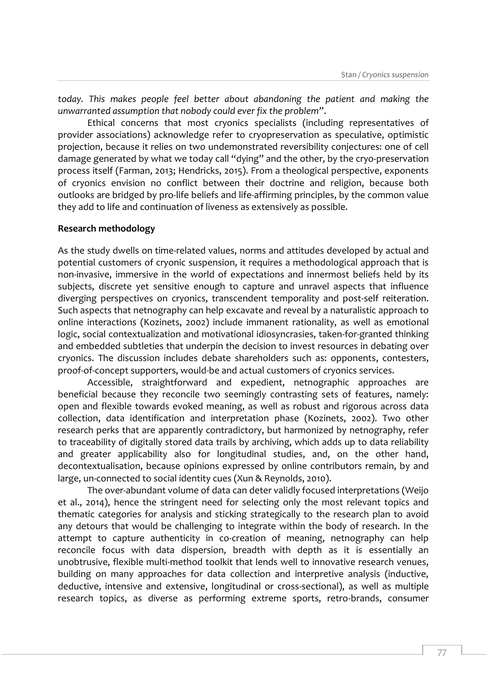*today. This makes people feel better about abandoning the patient and making the unwarranted assumption that nobody could ever fix the problem"*.

Ethical concerns that most cryonics specialists (including representatives of provider associations) acknowledge refer to cryopreservation as speculative, optimistic projection, because it relies on two undemonstrated reversibility conjectures: one of cell damage generated by what we today call "dying" and the other, by the cryo-preservation process itself (Farman, 2013; Hendricks, 2015). From a theological perspective, exponents of cryonics envision no conflict between their doctrine and religion, because both outlooks are bridged by pro-life beliefs and life-affirming principles, by the common value they add to life and continuation of liveness as extensively as possible.

#### **Research methodology**

As the study dwells on time-related values, norms and attitudes developed by actual and potential customers of cryonic suspension, it requires a methodological approach that is non-invasive, immersive in the world of expectations and innermost beliefs held by its subjects, discrete yet sensitive enough to capture and unravel aspects that influence diverging perspectives on cryonics, transcendent temporality and post-self reiteration. Such aspects that netnography can help excavate and reveal by a naturalistic approach to online interactions (Kozinets, 2002) include immanent rationality, as well as emotional logic, social contextualization and motivational idiosyncrasies, taken-for-granted thinking and embedded subtleties that underpin the decision to invest resources in debating over cryonics. The discussion includes debate shareholders such as: opponents, contesters, proof-of-concept supporters, would-be and actual customers of cryonics services.

Accessible, straightforward and expedient, netnographic approaches are beneficial because they reconcile two seemingly contrasting sets of features, namely: open and flexible towards evoked meaning, as well as robust and rigorous across data collection, data identification and interpretation phase (Kozinets, 2002). Two other research perks that are apparently contradictory, but harmonized by netnography, refer to traceability of digitally stored data trails by archiving, which adds up to data reliability and greater applicability also for longitudinal studies, and, on the other hand, decontextualisation, because opinions expressed by online contributors remain, by and large, un-connected to social identity cues (Xun & Reynolds, 2010).

The over-abundant volume of data can deter validly focused interpretations (Weijo et al., 2014), hence the stringent need for selecting only the most relevant topics and thematic categories for analysis and sticking strategically to the research plan to avoid any detours that would be challenging to integrate within the body of research. In the attempt to capture authenticity in co-creation of meaning, netnography can help reconcile focus with data dispersion, breadth with depth as it is essentially an unobtrusive, flexible multi-method toolkit that lends well to innovative research venues, building on many approaches for data collection and interpretive analysis (inductive, deductive, intensive and extensive, longitudinal or cross-sectional), as well as multiple research topics, as diverse as performing extreme sports, retro-brands, consumer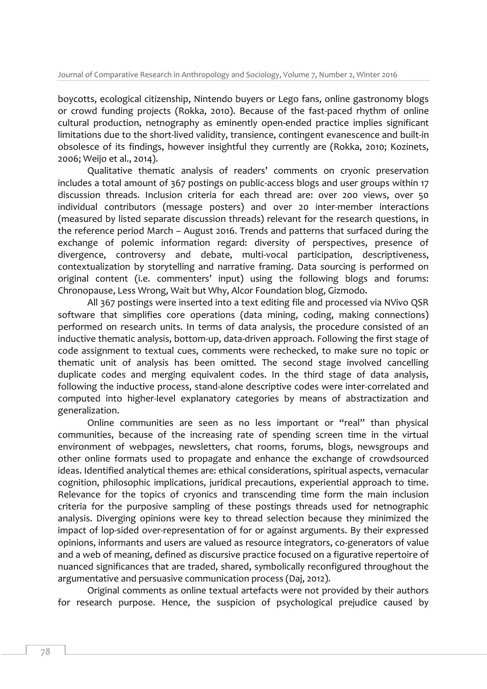boycotts, ecological citizenship, Nintendo buyers or Lego fans, online gastronomy blogs or crowd funding projects (Rokka, 2010). Because of the fast-paced rhythm of online cultural production, netnography as eminently open-ended practice implies significant limitations due to the short-lived validity, transience, contingent evanescence and built-in obsolesce of its findings, however insightful they currently are (Rokka, 2010; Kozinets, 2006; Weijo et al., 2014).

Qualitative thematic analysis of readers' comments on cryonic preservation includes a total amount of 367 postings on public-access blogs and user groups within 17 discussion threads. Inclusion criteria for each thread are: over 200 views, over 50 individual contributors (message posters) and over 20 inter-member interactions (measured by listed separate discussion threads) relevant for the research questions, in the reference period March – August 2016. Trends and patterns that surfaced during the exchange of polemic information regard: diversity of perspectives, presence of divergence, controversy and debate, multi-vocal participation, descriptiveness, contextualization by storytelling and narrative framing. Data sourcing is performed on original content (i.e. commenters' input) using the following blogs and forums: Chronopause, Less Wrong, Wait but Why, Alcor Foundation blog, Gizmodo.

All 367 postings were inserted into a text editing file and processed via NVivo QSR software that simplifies core operations (data mining, coding, making connections) performed on research units. In terms of data analysis, the procedure consisted of an inductive thematic analysis, bottom-up, data-driven approach. Following the first stage of code assignment to textual cues, comments were rechecked, to make sure no topic or thematic unit of analysis has been omitted. The second stage involved cancelling duplicate codes and merging equivalent codes. In the third stage of data analysis, following the inductive process, stand-alone descriptive codes were inter-correlated and computed into higher-level explanatory categories by means of abstractization and generalization.

Online communities are seen as no less important or "real" than physical communities, because of the increasing rate of spending screen time in the virtual environment of webpages, newsletters, chat rooms, forums, blogs, newsgroups and other online formats used to propagate and enhance the exchange of crowdsourced ideas. Identified analytical themes are: ethical considerations, spiritual aspects, vernacular cognition, philosophic implications, juridical precautions, experiential approach to time. Relevance for the topics of cryonics and transcending time form the main inclusion criteria for the purposive sampling of these postings threads used for netnographic analysis. Diverging opinions were key to thread selection because they minimized the impact of lop-sided over-representation of for or against arguments. By their expressed opinions, informants and users are valued as resource integrators, co-generators of value and a web of meaning, defined as discursive practice focused on a figurative repertoire of nuanced significances that are traded, shared, symbolically reconfigured throughout the argumentative and persuasive communication process (Daj, 2012).

Original comments as online textual artefacts were not provided by their authors for research purpose. Hence, the suspicion of psychological prejudice caused by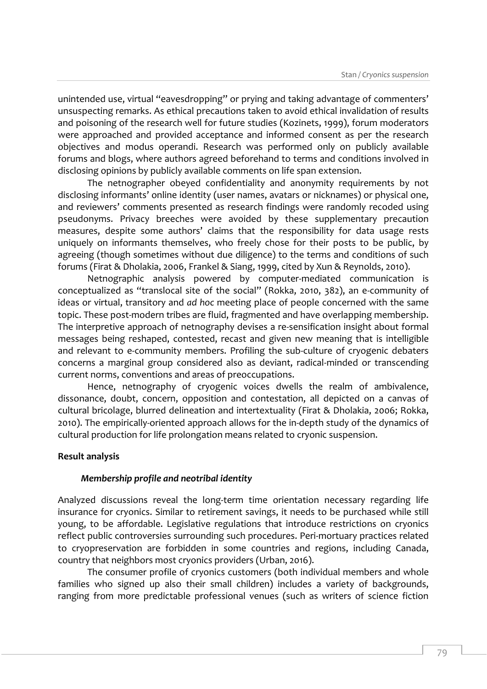unintended use, virtual "eavesdropping" or prying and taking advantage of commenters' unsuspecting remarks. As ethical precautions taken to avoid ethical invalidation of results and poisoning of the research well for future studies (Kozinets, 1999), forum moderators were approached and provided acceptance and informed consent as per the research objectives and modus operandi. Research was performed only on publicly available forums and blogs, where authors agreed beforehand to terms and conditions involved in disclosing opinions by publicly available comments on life span extension.

The netnographer obeyed confidentiality and anonymity requirements by not disclosing informants' online identity (user names, avatars or nicknames) or physical one, and reviewers' comments presented as research findings were randomly recoded using pseudonyms. Privacy breeches were avoided by these supplementary precaution measures, despite some authors' claims that the responsibility for data usage rests uniquely on informants themselves, who freely chose for their posts to be public, by agreeing (though sometimes without due diligence) to the terms and conditions of such forums (Firat & Dholakia, 2006, Frankel & Siang, 1999, cited by Xun & Reynolds, 2010).

Netnographic analysis powered by computer-mediated communication is conceptualized as "translocal site of the social" (Rokka, 2010, 382), an e-community of ideas or virtual, transitory and *ad hoc* meeting place of people concerned with the same topic. These post-modern tribes are fluid, fragmented and have overlapping membership. The interpretive approach of netnography devises a re-sensification insight about formal messages being reshaped, contested, recast and given new meaning that is intelligible and relevant to e-community members. Profiling the sub-culture of cryogenic debaters concerns a marginal group considered also as deviant, radical-minded or transcending current norms, conventions and areas of preoccupations.

Hence, netnography of cryogenic voices dwells the realm of ambivalence, dissonance, doubt, concern, opposition and contestation, all depicted on a canvas of cultural bricolage, blurred delineation and intertextuality (Firat & Dholakia, 2006; Rokka, 2010). The empirically-oriented approach allows for the in-depth study of the dynamics of cultural production for life prolongation means related to cryonic suspension.

#### **Result analysis**

# *Membership profile and neotribal identity*

Analyzed discussions reveal the long-term time orientation necessary regarding life insurance for cryonics. Similar to retirement savings, it needs to be purchased while still young, to be affordable. Legislative regulations that introduce restrictions on cryonics reflect public controversies surrounding such procedures. Peri-mortuary practices related to cryopreservation are forbidden in some countries and regions, including Canada, country that neighbors most cryonics providers (Urban, 2016).

The consumer profile of cryonics customers (both individual members and whole families who signed up also their small children) includes a variety of backgrounds, ranging from more predictable professional venues (such as writers of science fiction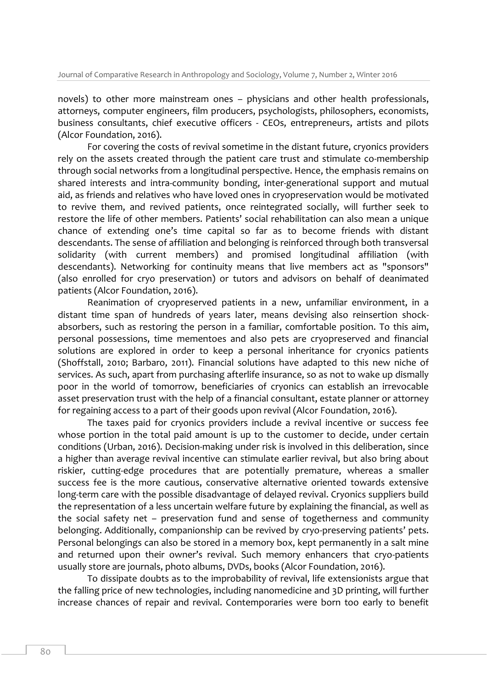novels) to other more mainstream ones – physicians and other health professionals, attorneys, computer engineers, film producers, psychologists, philosophers, economists, business consultants, chief executive officers - CEOs, entrepreneurs, artists and pilots (Alcor Foundation, 2016).

For covering the costs of revival sometime in the distant future, cryonics providers rely on the assets created through the patient care trust and stimulate co-membership through social networks from a longitudinal perspective. Hence, the emphasis remains on shared interests and intra-community bonding, inter-generational support and mutual aid, as friends and relatives who have loved ones in cryopreservation would be motivated to revive them, and revived patients, once reintegrated socially, will further seek to restore the life of other members. Patients' social rehabilitation can also mean a unique chance of extending one's time capital so far as to become friends with distant descendants. The sense of affiliation and belonging is reinforced through both transversal solidarity (with current members) and promised longitudinal affiliation (with descendants). Networking for continuity means that live members act as "sponsors" (also enrolled for cryo preservation) or tutors and advisors on behalf of deanimated patients (Alcor Foundation, 2016).

Reanimation of cryopreserved patients in a new, unfamiliar environment, in a distant time span of hundreds of years later, means devising also reinsertion shockabsorbers, such as restoring the person in a familiar, comfortable position. To this aim, personal possessions, time mementoes and also pets are cryopreserved and financial solutions are explored in order to keep a personal inheritance for cryonics patients (Shoffstall, 2010; Barbaro, 2011). Financial solutions have adapted to this new niche of services. As such, apart from purchasing afterlife insurance, so as not to wake up dismally poor in the world of tomorrow, beneficiaries of cryonics can establish an irrevocable asset preservation trust with the help of a financial consultant, estate planner or attorney for regaining access to a part of their goods upon revival (Alcor Foundation, 2016).

The taxes paid for cryonics providers include a revival incentive or success fee whose portion in the total paid amount is up to the customer to decide, under certain conditions (Urban, 2016). Decision-making under risk is involved in this deliberation, since a higher than average revival incentive can stimulate earlier revival, but also bring about riskier, cutting-edge procedures that are potentially premature, whereas a smaller success fee is the more cautious, conservative alternative oriented towards extensive long-term care with the possible disadvantage of delayed revival. Cryonics suppliers build the representation of a less uncertain welfare future by explaining the financial, as well as the social safety net – preservation fund and sense of togetherness and community belonging. Additionally, companionship can be revived by cryo-preserving patients' pets. Personal belongings can also be stored in a memory box, kept permanently in a salt mine and returned upon their owner's revival. Such memory enhancers that cryo-patients usually store are journals, photo albums, DVDs, books (Alcor Foundation, 2016).

To dissipate doubts as to the improbability of revival, life extensionists argue that the falling price of new technologies, including nanomedicine and 3D printing, will further increase chances of repair and revival. Contemporaries were born too early to benefit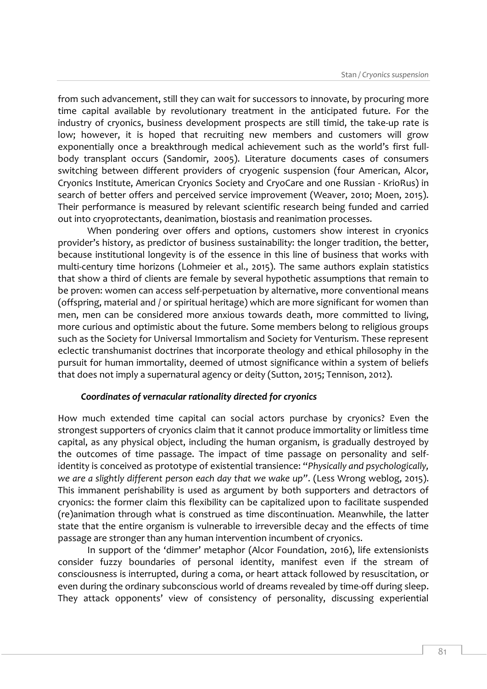from such advancement, still they can wait for successors to innovate, by procuring more time capital available by revolutionary treatment in the anticipated future. For the industry of cryonics, business development prospects are still timid, the take-up rate is low; however, it is hoped that recruiting new members and customers will grow exponentially once a breakthrough medical achievement such as the world's first fullbody transplant occurs (Sandomir, 2005). Literature documents cases of consumers switching between different providers of cryogenic suspension (four American, Alcor, Cryonics Institute, American Cryonics Society and CryoCare and one Russian - KrioRus) in search of better offers and perceived service improvement (Weaver, 2010; Moen, 2015). Their performance is measured by relevant scientific research being funded and carried out into cryoprotectants, deanimation, biostasis and reanimation processes.

When pondering over offers and options, customers show interest in cryonics provider's history, as predictor of business sustainability: the longer tradition, the better, because institutional longevity is of the essence in this line of business that works with multi-century time horizons (Lohmeier et al., 2015). The same authors explain statistics that show a third of clients are female by several hypothetic assumptions that remain to be proven: women can access self-perpetuation by alternative, more conventional means (offspring, material and / or spiritual heritage) which are more significant for women than men, men can be considered more anxious towards death, more committed to living, more curious and optimistic about the future. Some members belong to religious groups such as the Society for Universal Immortalism and Society for Venturism. These represent eclectic transhumanist doctrines that incorporate theology and ethical philosophy in the pursuit for human immortality, deemed of utmost significance within a system of beliefs that does not imply a supernatural agency or deity (Sutton, 2015; Tennison, 2012).

#### *Coordinates of vernacular rationality directed for cryonics*

How much extended time capital can social actors purchase by cryonics? Even the strongest supporters of cryonics claim that it cannot produce immortality or limitless time capital, as any physical object, including the human organism, is gradually destroyed by the outcomes of time passage. The impact of time passage on personality and selfidentity is conceived as prototype of existential transience: "*Physically and psychologically, we are a slightly different person each day that we wake up"*. (Less Wrong weblog, 2015). This immanent perishability is used as argument by both supporters and detractors of cryonics: the former claim this flexibility can be capitalized upon to facilitate suspended (re)animation through what is construed as time discontinuation. Meanwhile, the latter state that the entire organism is vulnerable to irreversible decay and the effects of time passage are stronger than any human intervention incumbent of cryonics.

In support of the 'dimmer' metaphor (Alcor Foundation, 2016), life extensionists consider fuzzy boundaries of personal identity, manifest even if the stream of consciousness is interrupted, during a coma, or heart attack followed by resuscitation, or even during the ordinary subconscious world of dreams revealed by time-off during sleep. They attack opponents' view of consistency of personality, discussing experiential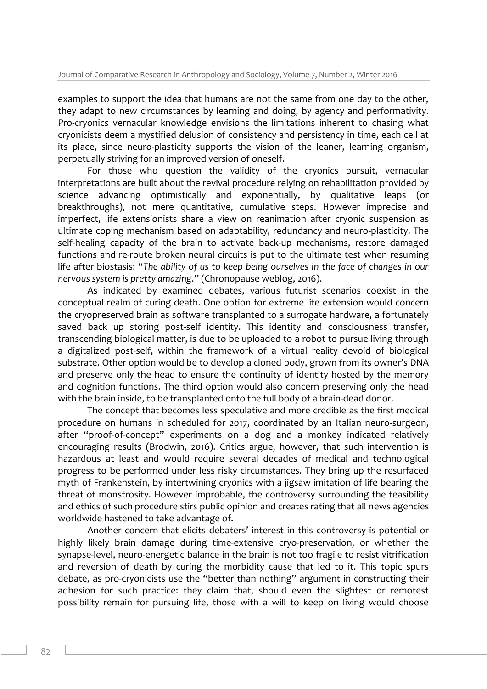examples to support the idea that humans are not the same from one day to the other, they adapt to new circumstances by learning and doing, by agency and performativity. Pro-cryonics vernacular knowledge envisions the limitations inherent to chasing what cryonicists deem a mystified delusion of consistency and persistency in time, each cell at its place, since neuro-plasticity supports the vision of the leaner, learning organism, perpetually striving for an improved version of oneself.

For those who question the validity of the cryonics pursuit, vernacular interpretations are built about the revival procedure relying on rehabilitation provided by science advancing optimistically and exponentially, by qualitative leaps (or breakthroughs), not mere quantitative, cumulative steps. However imprecise and imperfect, life extensionists share a view on reanimation after cryonic suspension as ultimate coping mechanism based on adaptability, redundancy and neuro-plasticity. The self-healing capacity of the brain to activate back-up mechanisms, restore damaged functions and re-route broken neural circuits is put to the ultimate test when resuming life after biostasis: "*The ability of us to keep being ourselves in the face of changes in our nervous system is pretty amazing*." (Chronopause weblog, 2016).

As indicated by examined debates, various futurist scenarios coexist in the conceptual realm of curing death. One option for extreme life extension would concern the cryopreserved brain as software transplanted to a surrogate hardware, a fortunately saved back up storing post-self identity. This identity and consciousness transfer, transcending biological matter, is due to be uploaded to a robot to pursue living through a digitalized post-self, within the framework of a virtual reality devoid of biological substrate. Other option would be to develop a cloned body, grown from its owner's DNA and preserve only the head to ensure the continuity of identity hosted by the memory and cognition functions. The third option would also concern preserving only the head with the brain inside, to be transplanted onto the full body of a brain-dead donor.

The concept that becomes less speculative and more credible as the first medical procedure on humans in scheduled for 2017, coordinated by an Italian neuro-surgeon, after "proof-of-concept" experiments on a dog and a monkey indicated relatively encouraging results (Brodwin, 2016). Critics argue, however, that such intervention is hazardous at least and would require several decades of medical and technological progress to be performed under less risky circumstances. They bring up the resurfaced myth of Frankenstein, by intertwining cryonics with a jigsaw imitation of life bearing the threat of monstrosity. However improbable, the controversy surrounding the feasibility and ethics of such procedure stirs public opinion and creates rating that all news agencies worldwide hastened to take advantage of.

Another concern that elicits debaters' interest in this controversy is potential or highly likely brain damage during time-extensive cryo-preservation, or whether the synapse-level, neuro-energetic balance in the brain is not too fragile to resist vitrification and reversion of death by curing the morbidity cause that led to it. This topic spurs debate, as pro-cryonicists use the "better than nothing" argument in constructing their adhesion for such practice: they claim that, should even the slightest or remotest possibility remain for pursuing life, those with a will to keep on living would choose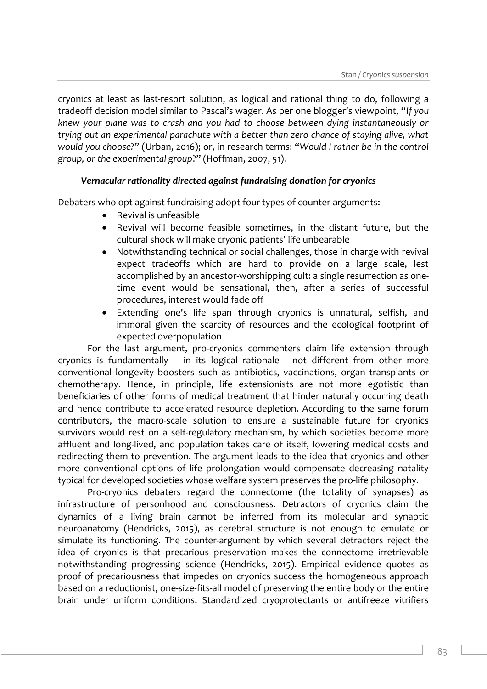cryonics at least as last-resort solution, as logical and rational thing to do, following a tradeoff decision model similar to Pascal's wager. As per one blogger's viewpoint, "*If you knew your plane was to crash and you had to choose between dying instantaneously or trying out an experimental parachute with a better than zero chance of staying alive, what would you choose?"* (Urban, 2016); or, in research terms: "*Would I rather be in the control group, or the experimental group*?" (Hoffman, 2007, 51).

# *Vernacular rationality directed against fundraising donation for cryonics*

Debaters who opt against fundraising adopt four types of counter-arguments:

- Revival is unfeasible
- Revival will become feasible sometimes, in the distant future, but the cultural shock will make cryonic patients' life unbearable
- Notwithstanding technical or social challenges, those in charge with revival expect tradeoffs which are hard to provide on a large scale, lest accomplished by an ancestor-worshipping cult: a single resurrection as onetime event would be sensational, then, after a series of successful procedures, interest would fade off
- Extending one's life span through cryonics is unnatural, selfish, and immoral given the scarcity of resources and the ecological footprint of expected overpopulation

For the last argument, pro-cryonics commenters claim life extension through cryonics is fundamentally – in its logical rationale - not different from other more conventional longevity boosters such as antibiotics, vaccinations, organ transplants or chemotherapy. Hence, in principle, life extensionists are not more egotistic than beneficiaries of other forms of medical treatment that hinder naturally occurring death and hence contribute to accelerated resource depletion. According to the same forum contributors, the macro-scale solution to ensure a sustainable future for cryonics survivors would rest on a self-regulatory mechanism, by which societies become more affluent and long-lived, and population takes care of itself, lowering medical costs and redirecting them to prevention. The argument leads to the idea that cryonics and other more conventional options of life prolongation would compensate decreasing natality typical for developed societies whose welfare system preserves the pro-life philosophy.

Pro-cryonics debaters regard the connectome (the totality of synapses) as infrastructure of personhood and consciousness. Detractors of cryonics claim the dynamics of a living brain cannot be inferred from its molecular and synaptic neuroanatomy (Hendricks, 2015), as cerebral structure is not enough to emulate or simulate its functioning. The counter-argument by which several detractors reject the idea of cryonics is that precarious preservation makes the connectome irretrievable notwithstanding progressing science (Hendricks, 2015). Empirical evidence quotes as proof of precariousness that impedes on cryonics success the homogeneous approach based on a reductionist, one-size-fits-all model of preserving the entire body or the entire brain under uniform conditions. Standardized cryoprotectants or antifreeze vitrifiers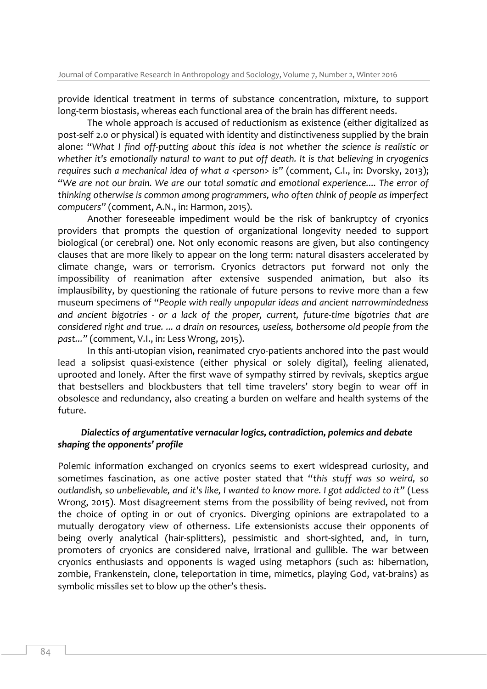provide identical treatment in terms of substance concentration, mixture, to support long-term biostasis, whereas each functional area of the brain has different needs.

The whole approach is accused of reductionism as existence (either digitalized as post-self 2.0 or physical) is equated with identity and distinctiveness supplied by the brain alone: "*What I find off-putting about this idea is not whether the science is realistic or whether it's emotionally natural to want to put off death. It is that believing in cryogenics requires such a mechanical idea of what a <person> is"* (comment, C.I., in: Dvorsky, 2013); "*We are not our brain. We are our total somatic and emotional experience.... The error of thinking otherwise is common among programmers, who often think of people as imperfect computers"* (comment, A.N., in: Harmon, 2015).

Another foreseeable impediment would be the risk of bankruptcy of cryonics providers that prompts the question of organizational longevity needed to support biological (or cerebral) one. Not only economic reasons are given, but also contingency clauses that are more likely to appear on the long term: natural disasters accelerated by climate change, wars or terrorism. Cryonics detractors put forward not only the impossibility of reanimation after extensive suspended animation, but also its implausibility, by questioning the rationale of future persons to revive more than a few museum specimens of "*People with really unpopular ideas and ancient narrowmindedness and ancient bigotries - or a lack of the proper, current, future-time bigotries that are considered right and true. ... a drain on resources, useless, bothersome old people from the past..."* (comment, V.I., in: Less Wrong, 2015).

In this anti-utopian vision, reanimated cryo-patients anchored into the past would lead a solipsist quasi-existence (either physical or solely digital), feeling alienated, uprooted and lonely. After the first wave of sympathy stirred by revivals, skeptics argue that bestsellers and blockbusters that tell time travelers' story begin to wear off in obsolesce and redundancy, also creating a burden on welfare and health systems of the future.

## *Dialectics of argumentative vernacular logics, contradiction, polemics and debate shaping the opponents' profile*

Polemic information exchanged on cryonics seems to exert widespread curiosity, and sometimes fascination, as one active poster stated that "*this stuff was so weird, so outlandish, so unbelievable, and it's like, I wanted to know more. I got addicted to it"* (Less Wrong, 2015). Most disagreement stems from the possibility of being revived, not from the choice of opting in or out of cryonics. Diverging opinions are extrapolated to a mutually derogatory view of otherness. Life extensionists accuse their opponents of being overly analytical (hair-splitters), pessimistic and short-sighted, and, in turn, promoters of cryonics are considered naive, irrational and gullible. The war between cryonics enthusiasts and opponents is waged using metaphors (such as: hibernation, zombie, Frankenstein, clone, teleportation in time, mimetics, playing God, vat-brains) as symbolic missiles set to blow up the other's thesis.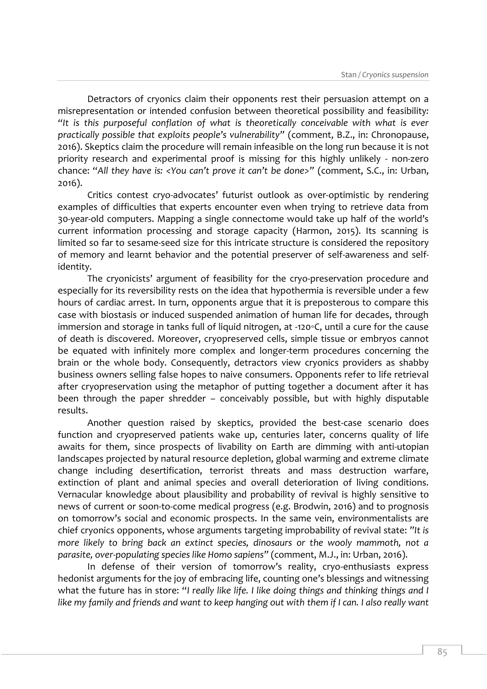Detractors of cryonics claim their opponents rest their persuasion attempt on a misrepresentation or intended confusion between theoretical possibility and feasibility*: "It is this purposeful conflation of what is theoretically conceivable with what is ever practically possible that exploits people's vulnerability"* (comment, B.Z., in: Chronopause, 2016). Skeptics claim the procedure will remain infeasible on the long run because it is not priority research and experimental proof is missing for this highly unlikely - non-zero chance: "*All they have is: <You can't prove it can't be done>"* (comment, S.C., in: Urban, 2016).

Critics contest cryo-advocates' futurist outlook as over-optimistic by rendering examples of difficulties that experts encounter even when trying to retrieve data from 30-year-old computers. Mapping a single connectome would take up half of the world's current information processing and storage capacity (Harmon, 2015). Its scanning is limited so far to sesame-seed size for this intricate structure is considered the repository of memory and learnt behavior and the potential preserver of self-awareness and selfidentity.

The cryonicists' argument of feasibility for the cryo-preservation procedure and especially for its reversibility rests on the idea that hypothermia is reversible under a few hours of cardiac arrest. In turn, opponents argue that it is preposterous to compare this case with biostasis or induced suspended animation of human life for decades, through immersion and storage in tanks full of liquid nitrogen, at -120◦C, until a cure for the cause of death is discovered. Moreover, cryopreserved cells, simple tissue or embryos cannot be equated with infinitely more complex and longer-term procedures concerning the brain or the whole body. Consequently, detractors view cryonics providers as shabby business owners selling false hopes to naive consumers. Opponents refer to life retrieval after cryopreservation using the metaphor of putting together a document after it has been through the paper shredder – conceivably possible, but with highly disputable results.

Another question raised by skeptics, provided the best-case scenario does function and cryopreserved patients wake up, centuries later, concerns quality of life awaits for them, since prospects of livability on Earth are dimming with anti-utopian landscapes projected by natural resource depletion, global warming and extreme climate change including desertification, terrorist threats and mass destruction warfare, extinction of plant and animal species and overall deterioration of living conditions. Vernacular knowledge about plausibility and probability of revival is highly sensitive to news of current or soon-to-come medical progress (e.g. Brodwin, 2016) and to prognosis on tomorrow's social and economic prospects. In the same vein, environmentalists are chief cryonics opponents, whose arguments targeting improbability of revival state: *"It is more likely to bring back an extinct species, dinosaurs or the wooly mammoth, not a parasite, over-populating species like Homo sapiens"* (comment, M.J., in: Urban, 2016).

In defense of their version of tomorrow's reality, cryo-enthusiasts express hedonist arguments for the joy of embracing life, counting one's blessings and witnessing what the future has in store: "*I really like life. I like doing things and thinking things and I like my family and friends and want to keep hanging out with them if I can. I also really want*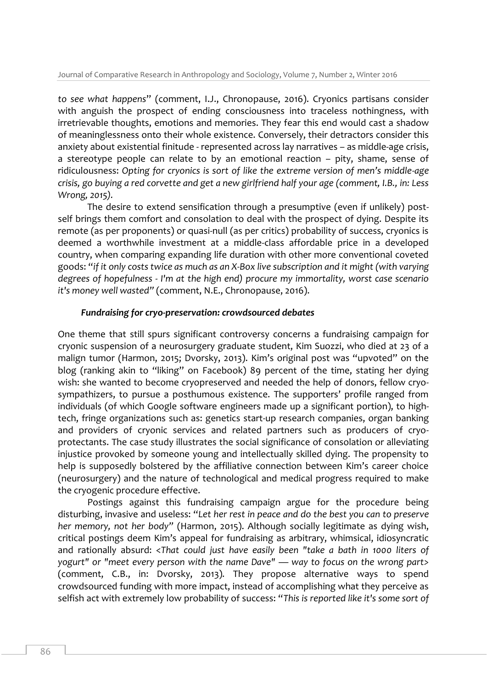*to see what happens*" (comment, I.J., Chronopause, 2016). Cryonics partisans consider with anguish the prospect of ending consciousness into traceless nothingness, with irretrievable thoughts, emotions and memories. They fear this end would cast a shadow of meaninglessness onto their whole existence. Conversely, their detractors consider this anxiety about existential finitude - represented across lay narratives – as middle-age crisis, a stereotype people can relate to by an emotional reaction – pity, shame, sense of ridiculousness: *Opting for cryonics is sort of like the extreme version of men's middle-age crisis, go buying a red corvette and get a new girlfriend half your age (comment, I.B., in: Less Wrong, 2015).*

The desire to extend sensification through a presumptive (even if unlikely) postself brings them comfort and consolation to deal with the prospect of dying. Despite its remote (as per proponents) or quasi-null (as per critics) probability of success, cryonics is deemed a worthwhile investment at a middle-class affordable price in a developed country, when comparing expanding life duration with other more conventional coveted goods: "*if it only costs twice as much as an X-Box live subscription and it might (with varying degrees of hopefulness - I'm at the high end) procure my immortality, worst case scenario it's money well wasted"* (comment, N.E., Chronopause, 2016).

## *Fundraising for cryo-preservation: crowdsourced debates*

One theme that still spurs significant controversy concerns a fundraising campaign for cryonic suspension of a neurosurgery graduate student, Kim Suozzi, who died at 23 of a malign tumor (Harmon, 2015; Dvorsky, 2013). Kim's original post was "upvoted" on the blog (ranking akin to "liking" on Facebook) 89 percent of the time, stating her dying wish: she wanted to become cryopreserved and needed the help of donors, fellow cryosympathizers, to pursue a posthumous existence. The supporters' profile ranged from individuals (of which Google software engineers made up a significant portion), to hightech, fringe organizations such as: genetics start-up research companies, organ banking and providers of cryonic services and related partners such as producers of cryoprotectants. The case study illustrates the social significance of consolation or alleviating injustice provoked by someone young and intellectually skilled dying. The propensity to help is supposedly bolstered by the affiliative connection between Kim's career choice (neurosurgery) and the nature of technological and medical progress required to make the cryogenic procedure effective.

Postings against this fundraising campaign argue for the procedure being disturbing, invasive and useless: "*Let her rest in peace and do the best you can to preserve her memory, not her body"* (Harmon, 2015). Although socially legitimate as dying wish, critical postings deem Kim's appeal for fundraising as arbitrary, whimsical, idiosyncratic and rationally absurd: <*That could just have easily been "take a bath in 1000 liters of yogurt" or "meet every person with the name Dave" — way to focus on the wrong part>*  (comment, C.B., in: Dvorsky, 2013)*.* They propose alternative ways to spend crowdsourced funding with more impact, instead of accomplishing what they perceive as selfish act with extremely low probability of success: "*This is reported like it's some sort of*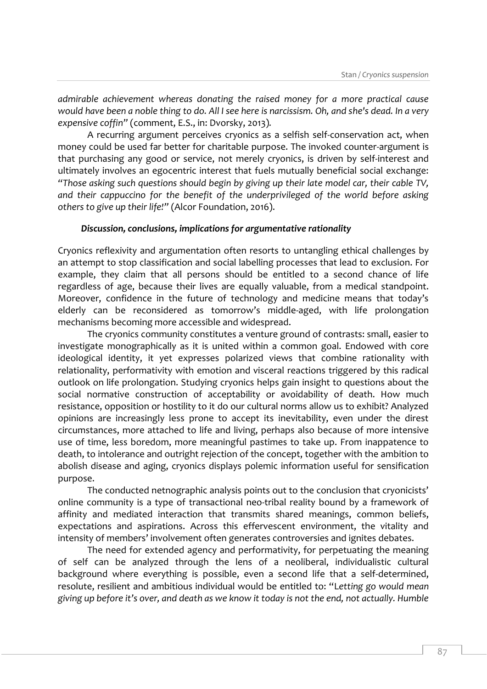*admirable achievement whereas donating the raised money for a more practical cause would have been a noble thing to do. All I see here is narcissism. Oh, and she's dead. In a very expensive coffin"* (comment, E.S., in: Dvorsky, 2013)*.*

A recurring argument perceives cryonics as a selfish self-conservation act, when money could be used far better for charitable purpose. The invoked counter-argument is that purchasing any good or service, not merely cryonics, is driven by self-interest and ultimately involves an egocentric interest that fuels mutually beneficial social exchange: *"Those asking such questions should begin by giving up their late model car, their cable TV, and their cappuccino for the benefit of the underprivileged of the world before asking others to give up their life!"* (Alcor Foundation, 2016).

## *Discussion, conclusions, implications for argumentative rationality*

Cryonics reflexivity and argumentation often resorts to untangling ethical challenges by an attempt to stop classification and social labelling processes that lead to exclusion. For example, they claim that all persons should be entitled to a second chance of life regardless of age, because their lives are equally valuable, from a medical standpoint. Moreover, confidence in the future of technology and medicine means that today's elderly can be reconsidered as tomorrow's middle-aged, with life prolongation mechanisms becoming more accessible and widespread.

The cryonics community constitutes a venture ground of contrasts: small, easier to investigate monographically as it is united within a common goal. Endowed with core ideological identity, it yet expresses polarized views that combine rationality with relationality, performativity with emotion and visceral reactions triggered by this radical outlook on life prolongation. Studying cryonics helps gain insight to questions about the social normative construction of acceptability or avoidability of death. How much resistance, opposition or hostility to it do our cultural norms allow us to exhibit? Analyzed opinions are increasingly less prone to accept its inevitability, even under the direst circumstances, more attached to life and living, perhaps also because of more intensive use of time, less boredom, more meaningful pastimes to take up. From inappatence to death, to intolerance and outright rejection of the concept, together with the ambition to abolish disease and aging, cryonics displays polemic information useful for sensification purpose.

The conducted netnographic analysis points out to the conclusion that cryonicists' online community is a type of transactional neo-tribal reality bound by a framework of affinity and mediated interaction that transmits shared meanings, common beliefs, expectations and aspirations. Across this effervescent environment, the vitality and intensity of members' involvement often generates controversies and ignites debates.

The need for extended agency and performativity, for perpetuating the meaning of self can be analyzed through the lens of a neoliberal, individualistic cultural background where everything is possible, even a second life that a self-determined, resolute, resilient and ambitious individual would be entitled to: "L*etting go would mean giving up before it's over, and death as we know it today is not the end, not actually. Humble*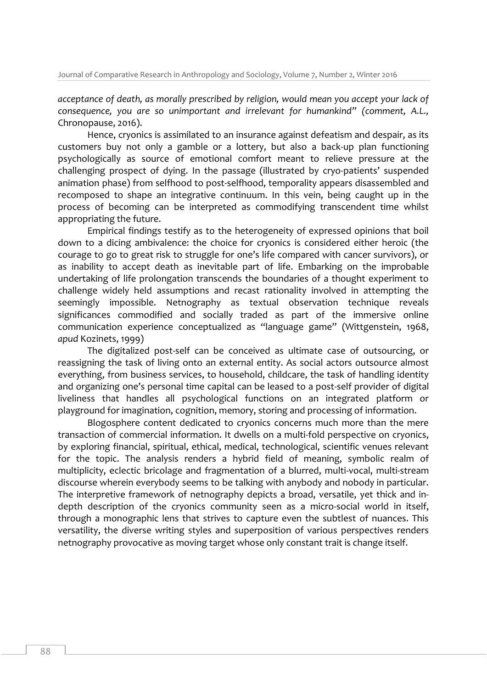*acceptance of death, as morally prescribed by religion, would mean you accept your lack of consequence, you are so unimportant and irrelevant for humankind" (comment, A.L.,*  Chronopause, 2016).

Hence, cryonics is assimilated to an insurance against defeatism and despair, as its customers buy not only a gamble or a lottery, but also a back-up plan functioning psychologically as source of emotional comfort meant to relieve pressure at the challenging prospect of dying. In the passage (illustrated by cryo-patients' suspended animation phase) from selfhood to post-selfhood, temporality appears disassembled and recomposed to shape an integrative continuum. In this vein, being caught up in the process of becoming can be interpreted as commodifying transcendent time whilst appropriating the future.

Empirical findings testify as to the heterogeneity of expressed opinions that boil down to a dicing ambivalence: the choice for cryonics is considered either heroic (the courage to go to great risk to struggle for one's life compared with cancer survivors), or as inability to accept death as inevitable part of life. Embarking on the improbable undertaking of life prolongation transcends the boundaries of a thought experiment to challenge widely held assumptions and recast rationality involved in attempting the seemingly impossible. Netnography as textual observation technique reveals significances commodified and socially traded as part of the immersive online communication experience conceptualized as "language game" (Wittgenstein, 1968, *apud* Kozinets, 1999)

The digitalized post-self can be conceived as ultimate case of outsourcing, or reassigning the task of living onto an external entity. As social actors outsource almost everything, from business services, to household, childcare, the task of handling identity and organizing one's personal time capital can be leased to a post-self provider of digital liveliness that handles all psychological functions on an integrated platform or playground for imagination, cognition, memory, storing and processing of information.

Blogosphere content dedicated to cryonics concerns much more than the mere transaction of commercial information. It dwells on a multi-fold perspective on cryonics, by exploring financial, spiritual, ethical, medical, technological, scientific venues relevant for the topic. The analysis renders a hybrid field of meaning, symbolic realm of multiplicity, eclectic bricolage and fragmentation of a blurred, multi-vocal, multi-stream discourse wherein everybody seems to be talking with anybody and nobody in particular. The interpretive framework of netnography depicts a broad, versatile, yet thick and indepth description of the cryonics community seen as a micro-social world in itself, through a monographic lens that strives to capture even the subtlest of nuances. This versatility, the diverse writing styles and superposition of various perspectives renders netnography provocative as moving target whose only constant trait is change itself.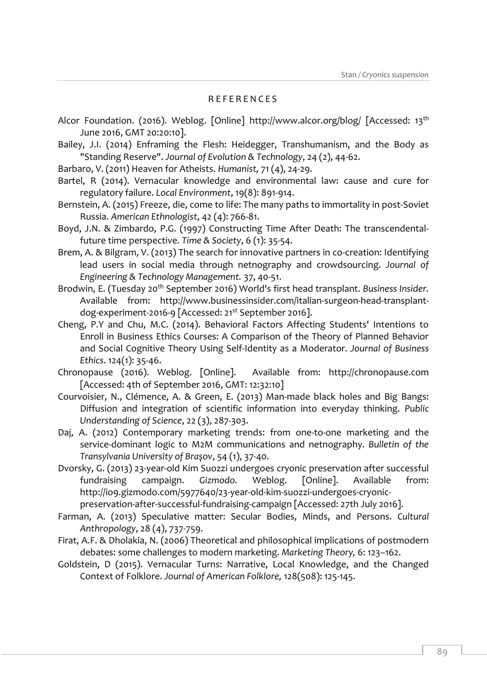## R E F E R E N C E S

- Alcor Foundation. (2016). Weblog. [Online] http://www.alcor.org/blog/ [Accessed: 13<sup>th</sup> June 2016, GMT 20:20:10].
- Bailey, J.I. (2014) Enframing the Flesh: Heidegger, Transhumanism, and the Body as "Standing Reserve". *Journal of Evolution & Technology*, 24 (2), 44-62.
- Barbaro, V. (2011) Heaven for Atheists. *Humanist,* 71 (4), 24-29.
- Bartel, R (2014). Vernacular knowledge and environmental law: cause and cure for regulatory failure. *Local Environment*, 19(8): 891-914.
- Bernstein, A. (2015) Freeze, die, come to life: The many paths to immortality in post-Soviet Russia. *American Ethnologist*, 42 (4): 766-81.
- Boyd, J.N. & Zimbardo, P.G. (1997) Constructing Time After Death: The transcendentalfuture time perspective. *Time & Society*, 6 (1): 35-54.
- Brem, A. & Bilgram, V. (2013) The search for innovative partners in co-creation: Identifying lead users in social media through netnography and crowdsourcing. *Journal of Engineering & Technology Management.* 37, 40-51.
- Brodwin, E. (Tuesday 20<sup>th</sup> September 2016) World's first head transplant. *Business Insider*. Available from: http://www.businessinsider.com/italian-surgeon-head-transplantdog-experiment-2016-9 [Accessed: 21st September 2016].
- Cheng, P.Y and Chu, M.C. (2014). Behavioral Factors Affecting Students' Intentions to Enroll in Business Ethics Courses: A Comparison of the Theory of Planned Behavior and Social Cognitive Theory Using Self-Identity as a Moderator. *Journal of Business Ethics*. 124(1): 35-46.
- Chronopause (2016). Weblog. [Online]. Available from: http://chronopause.com [Accessed: 4th of September 2016, GMT: 12:32:10]
- Courvoisier, N., Clémence, A. & Green, E. (2013) Man-made black holes and Big Bangs: Diffusion and integration of scientific information into everyday thinking. *Public Understanding of Science*, 22 (3), 287-303.
- Daj, A. (2012) Contemporary marketing trends: from one-to-one marketing and the service-dominant logic to M2M communications and netnography. *Bulletin of the Transylvania University of Braşov*, 54 (1), 37-40.
- Dvorsky, G. (2013) 23-year-old Kim Suozzi undergoes cryonic preservation after successful fundraising campaign. *Gizmodo.* Weblog. [Online]. Available from: http://io9.gizmodo.com/5977640/23-year-old-kim-suozzi-undergoes-cryonicpreservation-after-successful-fundraising-campaign [Accessed: 27th July 2016].
- Farman, A. (2013) Speculative matter: Secular Bodies, Minds, and Persons. *Cultural Anthropology*, 28 (4), 737-759.
- Firat, A.F. & Dholakia, N. (2006) Theoretical and philosophical implications of postmodern debates: some challenges to modern marketing. *Marketing Theory,* 6: 123–162.
- Goldstein, D (2015). Vernacular Turns: Narrative, Local Knowledge, and the Changed Context of Folklore. *Journal of American Folklore,* 128(508): 125-145.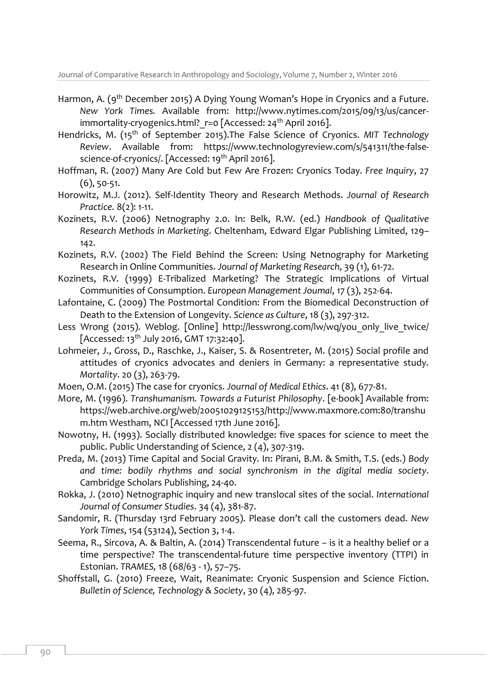Journal of Comparative Research in Anthropology and Sociology, Volume 7, Number 2, Winter 2016

- Harmon, A. (9<sup>th</sup> December 2015) A Dying Young Woman's Hope in Cryonics and a Future. *New York Times.* Available from: http://www.nytimes.com/2015/09/13/us/cancerimmortality-cryogenics.html? r=0 [Accessed: 24<sup>th</sup> April 2016].
- Hendricks, M. (15th of September 2015).The False Science of Cryonics. *MIT Technology Review*. Available from: https://www.technologyreview.com/s/541311/the-falsescience-of-cryonics/. [Accessed: 19<sup>th</sup> April 2016].
- Hoffman, R. (2007) Many Are Cold but Few Are Frozen: Cryonics Today. *Free Inquiry*, 27 (6), 50-51.
- Horowitz, M.J. (2012). Self-Identity Theory and Research Methods. *Journal of Research Practice.* 8(2): 1-11.
- Kozinets, R.V. (2006) Netnography 2.0. In: Belk, R.W. (ed.) *Handbook of Qualitative Research Methods in Marketing*. Cheltenham, Edward Elgar Publishing Limited, 129– 142.
- Kozinets, R.V. (2002) The Field Behind the Screen: Using Netnography for Marketing Research in Online Communities. *Journal of Marketing Research*, 39 (1), 61-72.
- Kozinets, R.V. (1999) E-Tribalized Marketing? The Strategic Implications of Virtual Communities of Consumption. *European Management Joumal*, 17 (3), 252-64.
- Lafontaine, C. (2009) The Postmortal Condition: From the Biomedical Deconstruction of Death to the Extension of Longevity. *Science as Culture*, 18 (3), 297-312.
- Less Wrong (2015). Weblog. [Online] http://lesswrong.com/lw/wq/you only live twice/ [Accessed: 13<sup>th</sup> July 2016, GMT 17:32:40].
- Lohmeier, J., Gross, D., Raschke, J., Kaiser, S. & Rosentreter, M. (2015) Social profile and attitudes of cryonics advocates and deniers in Germany: a representative study. *Mortality*. 20 (3), 263-79.
- Moen, O.M. (2015) The case for cryonics. *Journal of Medical Ethics*. 41 (8), 677-81.
- More, M. (1996). *Transhumanism. Towards a Futurist Philosophy*. [e-book] Available from: https://web.archive.org/web/20051029125153/http://www.maxmore.com:80/transhu m.htm Westham, NCI [Accessed 17th June 2016].
- Nowotny, H. (1993). Socially distributed knowledge: five spaces for science to meet the public. Public Understanding of Science, 2 (4), 307-319.
- Preda, M. (2013) Time Capital and Social Gravity. In: Pirani, B.M. & Smith, T.S. (eds.) *Body and time: bodily rhythms and social synchronism in the digital media society*. Cambridge Scholars Publishing, 24-40.
- Rokka, J. (2010) Netnographic inquiry and new translocal sites of the social. *International Journal of Consumer Studies*. 34 (4), 381-87.
- Sandomir, R. (Thursday 13rd February 2005). Please don't call the customers dead. *New York Times*, 154 (53124), Section 3, 1-4.
- Seema, R., Sircova, A. & Baltin, A. (2014) Transcendental future is it a healthy belief or a time perspective? The transcendental-future time perspective inventory (TTPI) in Estonian. *TRAMES,* 18 (68/63 - 1), 57–75.
- Shoffstall, G. (2010) Freeze, Wait, Reanimate: Cryonic Suspension and Science Fiction. *Bulletin of Science, Technology & Society*, 30 (4), 285-97.